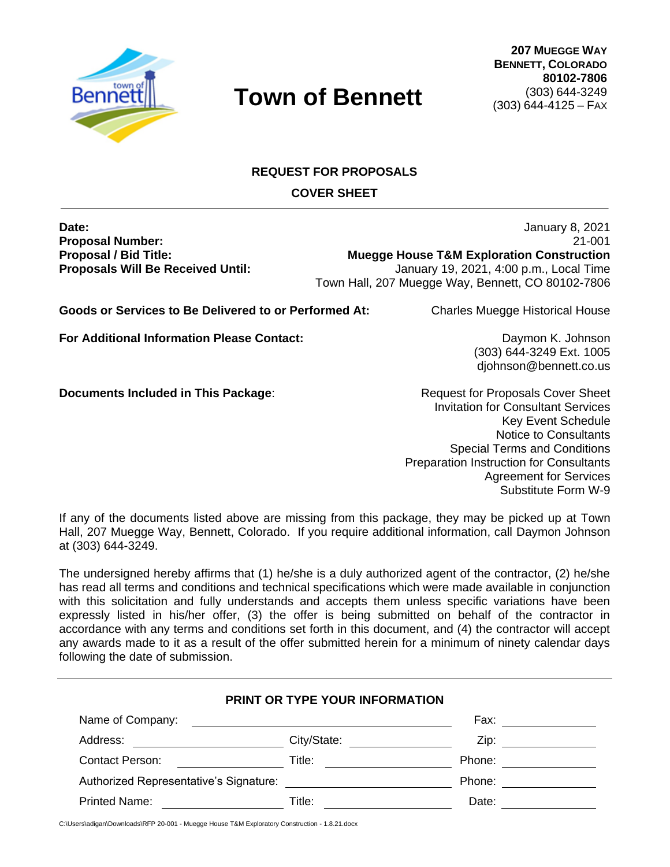

# **REQUEST FOR PROPOSALS COVER SHEET**

**Date:** January 8, 2021 **Proposal Number:** 21-001 **Proposal / Bid Title: Muegge House T&M Exploration Construction Proposals Will Be Received Until:** January 19, 2021, 4:00 p.m., Local Time Town Hall, 207 Muegge Way, Bennett, CO 80102-7806

**Goods or Services to Be Delivered to or Performed At:** Charles Muegge Historical House

**For Additional Information Please Contact:** Daymon K. Johnson

(303) 644-3249 Ext. 1005 djohnson@bennett.co.us

**Documents Included in This Package:** Request for Proposals Cover Sheet

Invitation for Consultant Services Key Event Schedule Notice to Consultants Special Terms and Conditions Preparation Instruction for Consultants Agreement for Services Substitute Form W-9

If any of the documents listed above are missing from this package, they may be picked up at Town Hall, 207 Muegge Way, Bennett, Colorado. If you require additional information, call Daymon Johnson at (303) 644-3249.

The undersigned hereby affirms that (1) he/she is a duly authorized agent of the contractor, (2) he/she has read all terms and conditions and technical specifications which were made available in conjunction with this solicitation and fully understands and accepts them unless specific variations have been expressly listed in his/her offer, (3) the offer is being submitted on behalf of the contractor in accordance with any terms and conditions set forth in this document, and (4) the contractor will accept any awards made to it as a result of the offer submitted herein for a minimum of ninety calendar days following the date of submission.

|                                        | PRINT OR TYPE YOUR INFORMATION |        |  |
|----------------------------------------|--------------------------------|--------|--|
| Name of Company:                       |                                | Fax:   |  |
| Address:                               | City/State:                    | Zip:   |  |
| Contact Person:                        | Title:                         | Phone: |  |
| Authorized Representative's Signature: |                                | Phone: |  |
| Printed Name:                          | Title:                         | Date:  |  |

C:\Users\adigan\Downloads\RFP 20-001 - Muegge House T&M Exploratory Construction - 1.8.21.docx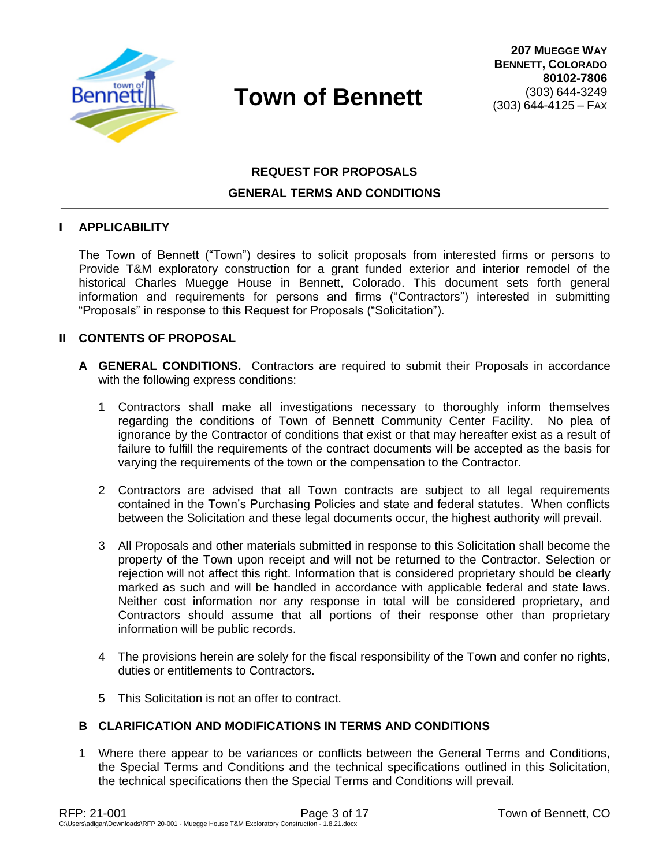

# **REQUEST FOR PROPOSALS GENERAL TERMS AND CONDITIONS**

#### **I APPLICABILITY**

The Town of Bennett ("Town") desires to solicit proposals from interested firms or persons to Provide T&M exploratory construction for a grant funded exterior and interior remodel of the historical Charles Muegge House in Bennett, Colorado. This document sets forth general information and requirements for persons and firms ("Contractors") interested in submitting "Proposals" in response to this Request for Proposals ("Solicitation").

#### **II CONTENTS OF PROPOSAL**

- **A GENERAL CONDITIONS.** Contractors are required to submit their Proposals in accordance with the following express conditions:
	- 1 Contractors shall make all investigations necessary to thoroughly inform themselves regarding the conditions of Town of Bennett Community Center Facility. No plea of ignorance by the Contractor of conditions that exist or that may hereafter exist as a result of failure to fulfill the requirements of the contract documents will be accepted as the basis for varying the requirements of the town or the compensation to the Contractor.
	- 2 Contractors are advised that all Town contracts are subject to all legal requirements contained in the Town's Purchasing Policies and state and federal statutes. When conflicts between the Solicitation and these legal documents occur, the highest authority will prevail.
	- 3 All Proposals and other materials submitted in response to this Solicitation shall become the property of the Town upon receipt and will not be returned to the Contractor. Selection or rejection will not affect this right. Information that is considered proprietary should be clearly marked as such and will be handled in accordance with applicable federal and state laws. Neither cost information nor any response in total will be considered proprietary, and Contractors should assume that all portions of their response other than proprietary information will be public records.
	- 4 The provisions herein are solely for the fiscal responsibility of the Town and confer no rights, duties or entitlements to Contractors.
	- 5 This Solicitation is not an offer to contract.

### **B CLARIFICATION AND MODIFICATIONS IN TERMS AND CONDITIONS**

1 Where there appear to be variances or conflicts between the General Terms and Conditions, the Special Terms and Conditions and the technical specifications outlined in this Solicitation, the technical specifications then the Special Terms and Conditions will prevail.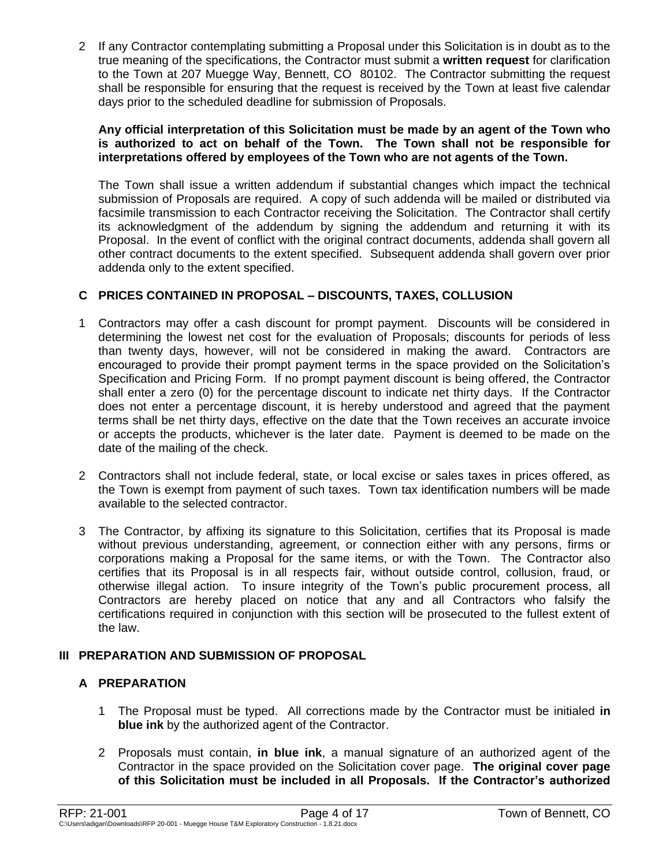2 If any Contractor contemplating submitting a Proposal under this Solicitation is in doubt as to the true meaning of the specifications, the Contractor must submit a **written request** for clarification to the Town at 207 Muegge Way, Bennett, CO 80102. The Contractor submitting the request shall be responsible for ensuring that the request is received by the Town at least five calendar days prior to the scheduled deadline for submission of Proposals.

#### **Any official interpretation of this Solicitation must be made by an agent of the Town who is authorized to act on behalf of the Town. The Town shall not be responsible for interpretations offered by employees of the Town who are not agents of the Town.**

The Town shall issue a written addendum if substantial changes which impact the technical submission of Proposals are required. A copy of such addenda will be mailed or distributed via facsimile transmission to each Contractor receiving the Solicitation. The Contractor shall certify its acknowledgment of the addendum by signing the addendum and returning it with its Proposal. In the event of conflict with the original contract documents, addenda shall govern all other contract documents to the extent specified. Subsequent addenda shall govern over prior addenda only to the extent specified.

## **C PRICES CONTAINED IN PROPOSAL – DISCOUNTS, TAXES, COLLUSION**

- 1 Contractors may offer a cash discount for prompt payment. Discounts will be considered in determining the lowest net cost for the evaluation of Proposals; discounts for periods of less than twenty days, however, will not be considered in making the award. Contractors are encouraged to provide their prompt payment terms in the space provided on the Solicitation's Specification and Pricing Form. If no prompt payment discount is being offered, the Contractor shall enter a zero (0) for the percentage discount to indicate net thirty days. If the Contractor does not enter a percentage discount, it is hereby understood and agreed that the payment terms shall be net thirty days, effective on the date that the Town receives an accurate invoice or accepts the products, whichever is the later date. Payment is deemed to be made on the date of the mailing of the check.
- 2 Contractors shall not include federal, state, or local excise or sales taxes in prices offered, as the Town is exempt from payment of such taxes. Town tax identification numbers will be made available to the selected contractor.
- 3 The Contractor, by affixing its signature to this Solicitation, certifies that its Proposal is made without previous understanding, agreement, or connection either with any persons, firms or corporations making a Proposal for the same items, or with the Town. The Contractor also certifies that its Proposal is in all respects fair, without outside control, collusion, fraud, or otherwise illegal action. To insure integrity of the Town's public procurement process, all Contractors are hereby placed on notice that any and all Contractors who falsify the certifications required in conjunction with this section will be prosecuted to the fullest extent of the law.

### **III PREPARATION AND SUBMISSION OF PROPOSAL**

### **A PREPARATION**

- 1 The Proposal must be typed. All corrections made by the Contractor must be initialed **in blue ink** by the authorized agent of the Contractor.
- 2 Proposals must contain, **in blue ink**, a manual signature of an authorized agent of the Contractor in the space provided on the Solicitation cover page. **The original cover page of this Solicitation must be included in all Proposals. If the Contractor's authorized**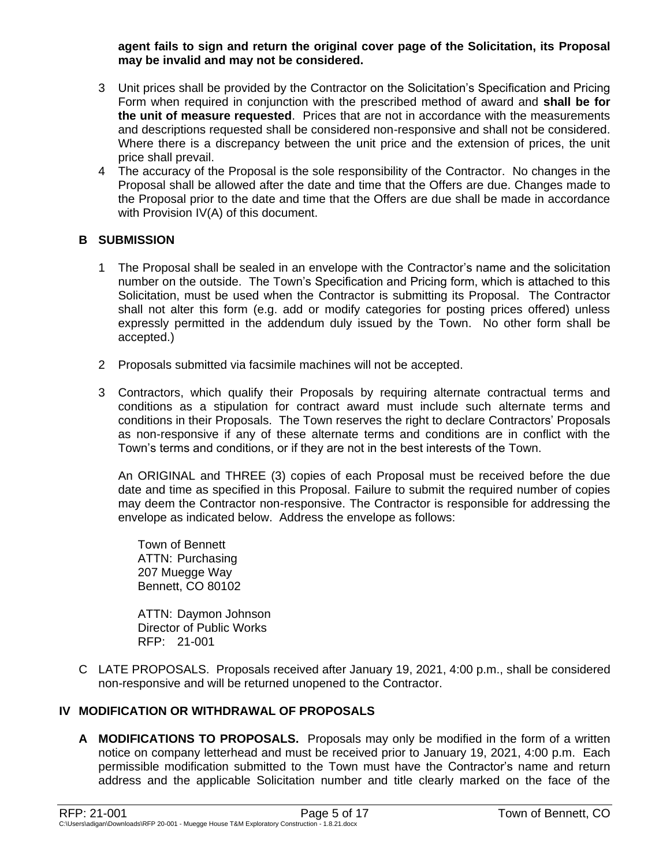#### **agent fails to sign and return the original cover page of the Solicitation, its Proposal may be invalid and may not be considered.**

- 3 Unit prices shall be provided by the Contractor on the Solicitation's Specification and Pricing Form when required in conjunction with the prescribed method of award and **shall be for the unit of measure requested**. Prices that are not in accordance with the measurements and descriptions requested shall be considered non-responsive and shall not be considered. Where there is a discrepancy between the unit price and the extension of prices, the unit price shall prevail.
- 4 The accuracy of the Proposal is the sole responsibility of the Contractor. No changes in the Proposal shall be allowed after the date and time that the Offers are due. Changes made to the Proposal prior to the date and time that the Offers are due shall be made in accordance with Provision IV(A) of this document.

## **B SUBMISSION**

- 1 The Proposal shall be sealed in an envelope with the Contractor's name and the solicitation number on the outside. The Town's Specification and Pricing form, which is attached to this Solicitation, must be used when the Contractor is submitting its Proposal. The Contractor shall not alter this form (e.g. add or modify categories for posting prices offered) unless expressly permitted in the addendum duly issued by the Town. No other form shall be accepted.)
- 2 Proposals submitted via facsimile machines will not be accepted.
- 3 Contractors, which qualify their Proposals by requiring alternate contractual terms and conditions as a stipulation for contract award must include such alternate terms and conditions in their Proposals. The Town reserves the right to declare Contractors' Proposals as non-responsive if any of these alternate terms and conditions are in conflict with the Town's terms and conditions, or if they are not in the best interests of the Town.

An ORIGINAL and THREE (3) copies of each Proposal must be received before the due date and time as specified in this Proposal. Failure to submit the required number of copies may deem the Contractor non-responsive. The Contractor is responsible for addressing the envelope as indicated below. Address the envelope as follows:

Town of Bennett ATTN: Purchasing 207 Muegge Way Bennett, CO 80102

ATTN: Daymon Johnson Director of Public Works RFP: 21-001

C LATE PROPOSALS. Proposals received after January 19, 2021, 4:00 p.m., shall be considered non-responsive and will be returned unopened to the Contractor.

### **IV MODIFICATION OR WITHDRAWAL OF PROPOSALS**

**A MODIFICATIONS TO PROPOSALS.** Proposals may only be modified in the form of a written notice on company letterhead and must be received prior to January 19, 2021, 4:00 p.m. Each permissible modification submitted to the Town must have the Contractor's name and return address and the applicable Solicitation number and title clearly marked on the face of the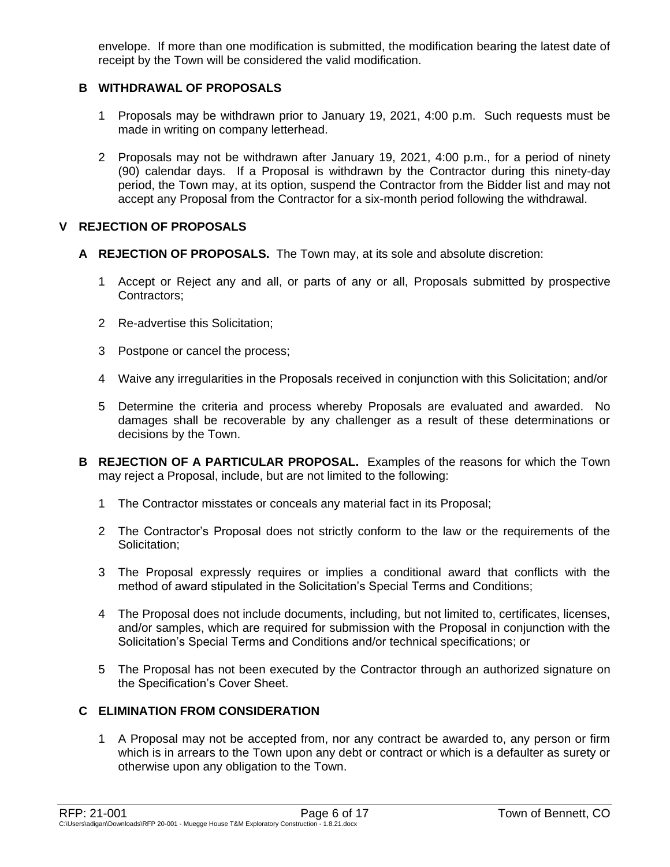envelope. If more than one modification is submitted, the modification bearing the latest date of receipt by the Town will be considered the valid modification.

### **B WITHDRAWAL OF PROPOSALS**

- 1 Proposals may be withdrawn prior to January 19, 2021, 4:00 p.m. Such requests must be made in writing on company letterhead.
- 2 Proposals may not be withdrawn after January 19, 2021, 4:00 p.m., for a period of ninety (90) calendar days. If a Proposal is withdrawn by the Contractor during this ninety-day period, the Town may, at its option, suspend the Contractor from the Bidder list and may not accept any Proposal from the Contractor for a six-month period following the withdrawal.

## **V REJECTION OF PROPOSALS**

- **A REJECTION OF PROPOSALS.** The Town may, at its sole and absolute discretion:
	- 1 Accept or Reject any and all, or parts of any or all, Proposals submitted by prospective Contractors;
	- 2 Re-advertise this Solicitation;
	- 3 Postpone or cancel the process;
	- 4 Waive any irregularities in the Proposals received in conjunction with this Solicitation; and/or
	- 5 Determine the criteria and process whereby Proposals are evaluated and awarded. No damages shall be recoverable by any challenger as a result of these determinations or decisions by the Town.
- **B REJECTION OF A PARTICULAR PROPOSAL.** Examples of the reasons for which the Town may reject a Proposal, include, but are not limited to the following:
	- 1 The Contractor misstates or conceals any material fact in its Proposal;
	- 2 The Contractor's Proposal does not strictly conform to the law or the requirements of the Solicitation:
	- 3 The Proposal expressly requires or implies a conditional award that conflicts with the method of award stipulated in the Solicitation's Special Terms and Conditions;
	- 4 The Proposal does not include documents, including, but not limited to, certificates, licenses, and/or samples, which are required for submission with the Proposal in conjunction with the Solicitation's Special Terms and Conditions and/or technical specifications; or
	- 5 The Proposal has not been executed by the Contractor through an authorized signature on the Specification's Cover Sheet.

## **C ELIMINATION FROM CONSIDERATION**

1 A Proposal may not be accepted from, nor any contract be awarded to, any person or firm which is in arrears to the Town upon any debt or contract or which is a defaulter as surety or otherwise upon any obligation to the Town.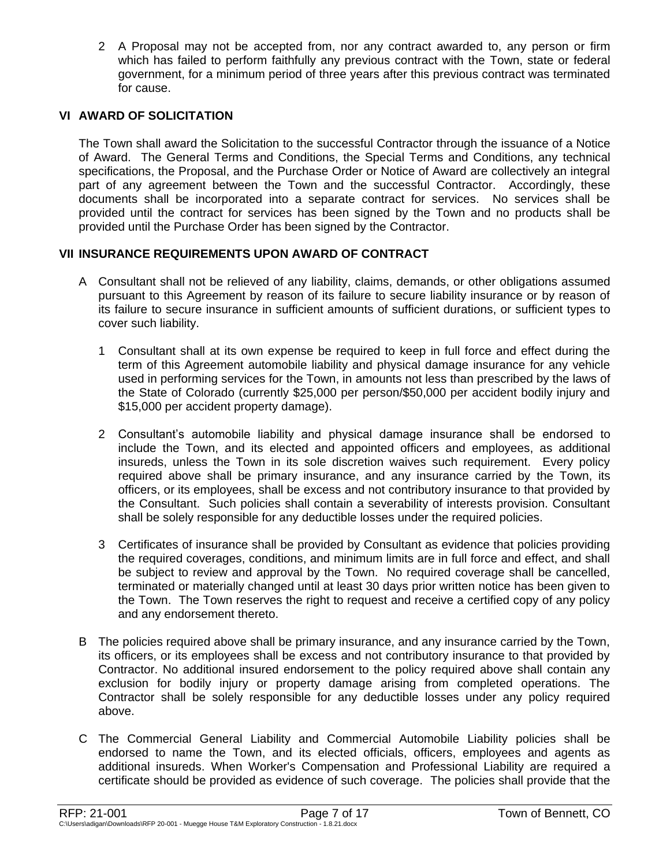2 A Proposal may not be accepted from, nor any contract awarded to, any person or firm which has failed to perform faithfully any previous contract with the Town, state or federal government, for a minimum period of three years after this previous contract was terminated for cause.

### **VI AWARD OF SOLICITATION**

The Town shall award the Solicitation to the successful Contractor through the issuance of a Notice of Award. The General Terms and Conditions, the Special Terms and Conditions, any technical specifications, the Proposal, and the Purchase Order or Notice of Award are collectively an integral part of any agreement between the Town and the successful Contractor. Accordingly, these documents shall be incorporated into a separate contract for services. No services shall be provided until the contract for services has been signed by the Town and no products shall be provided until the Purchase Order has been signed by the Contractor.

### **VII INSURANCE REQUIREMENTS UPON AWARD OF CONTRACT**

- A Consultant shall not be relieved of any liability, claims, demands, or other obligations assumed pursuant to this Agreement by reason of its failure to secure liability insurance or by reason of its failure to secure insurance in sufficient amounts of sufficient durations, or sufficient types to cover such liability.
	- 1 Consultant shall at its own expense be required to keep in full force and effect during the term of this Agreement automobile liability and physical damage insurance for any vehicle used in performing services for the Town, in amounts not less than prescribed by the laws of the State of Colorado (currently \$25,000 per person/\$50,000 per accident bodily injury and \$15,000 per accident property damage).
	- 2 Consultant's automobile liability and physical damage insurance shall be endorsed to include the Town, and its elected and appointed officers and employees, as additional insureds, unless the Town in its sole discretion waives such requirement. Every policy required above shall be primary insurance, and any insurance carried by the Town, its officers, or its employees, shall be excess and not contributory insurance to that provided by the Consultant. Such policies shall contain a severability of interests provision. Consultant shall be solely responsible for any deductible losses under the required policies.
	- 3 Certificates of insurance shall be provided by Consultant as evidence that policies providing the required coverages, conditions, and minimum limits are in full force and effect, and shall be subject to review and approval by the Town. No required coverage shall be cancelled, terminated or materially changed until at least 30 days prior written notice has been given to the Town. The Town reserves the right to request and receive a certified copy of any policy and any endorsement thereto.
- B The policies required above shall be primary insurance, and any insurance carried by the Town, its officers, or its employees shall be excess and not contributory insurance to that provided by Contractor. No additional insured endorsement to the policy required above shall contain any exclusion for bodily injury or property damage arising from completed operations. The Contractor shall be solely responsible for any deductible losses under any policy required above.
- C The Commercial General Liability and Commercial Automobile Liability policies shall be endorsed to name the Town, and its elected officials, officers, employees and agents as additional insureds. When Worker's Compensation and Professional Liability are required a certificate should be provided as evidence of such coverage. The policies shall provide that the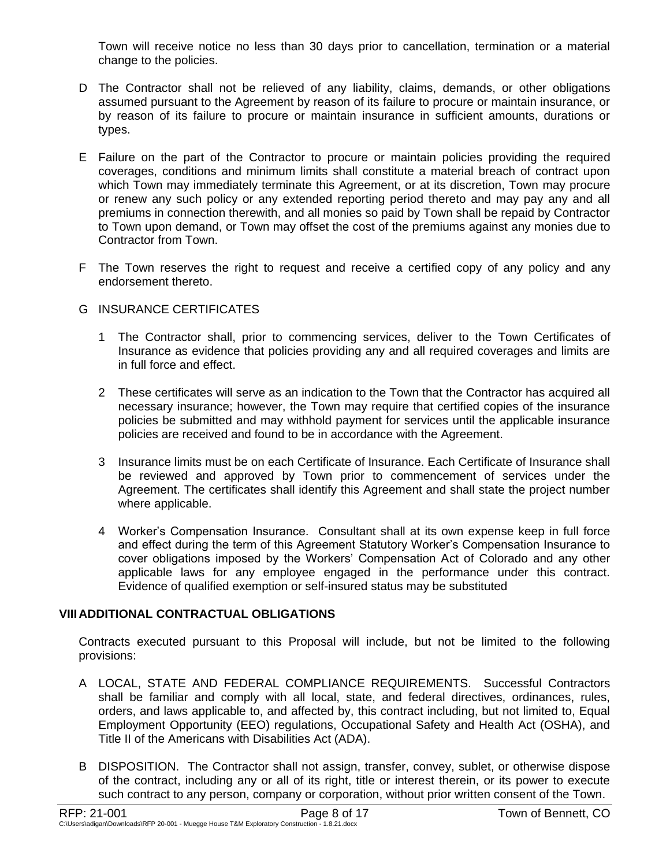Town will receive notice no less than 30 days prior to cancellation, termination or a material change to the policies.

- D The Contractor shall not be relieved of any liability, claims, demands, or other obligations assumed pursuant to the Agreement by reason of its failure to procure or maintain insurance, or by reason of its failure to procure or maintain insurance in sufficient amounts, durations or types.
- E Failure on the part of the Contractor to procure or maintain policies providing the required coverages, conditions and minimum limits shall constitute a material breach of contract upon which Town may immediately terminate this Agreement, or at its discretion, Town may procure or renew any such policy or any extended reporting period thereto and may pay any and all premiums in connection therewith, and all monies so paid by Town shall be repaid by Contractor to Town upon demand, or Town may offset the cost of the premiums against any monies due to Contractor from Town.
- F The Town reserves the right to request and receive a certified copy of any policy and any endorsement thereto.

## G INSURANCE CERTIFICATES

- 1 The Contractor shall, prior to commencing services, deliver to the Town Certificates of Insurance as evidence that policies providing any and all required coverages and limits are in full force and effect.
- 2 These certificates will serve as an indication to the Town that the Contractor has acquired all necessary insurance; however, the Town may require that certified copies of the insurance policies be submitted and may withhold payment for services until the applicable insurance policies are received and found to be in accordance with the Agreement.
- 3 Insurance limits must be on each Certificate of Insurance. Each Certificate of Insurance shall be reviewed and approved by Town prior to commencement of services under the Agreement. The certificates shall identify this Agreement and shall state the project number where applicable.
- 4 Worker's Compensation Insurance. Consultant shall at its own expense keep in full force and effect during the term of this Agreement Statutory Worker's Compensation Insurance to cover obligations imposed by the Workers' Compensation Act of Colorado and any other applicable laws for any employee engaged in the performance under this contract. Evidence of qualified exemption or self-insured status may be substituted

## **VIIIADDITIONAL CONTRACTUAL OBLIGATIONS**

Contracts executed pursuant to this Proposal will include, but not be limited to the following provisions:

- A LOCAL, STATE AND FEDERAL COMPLIANCE REQUIREMENTS. Successful Contractors shall be familiar and comply with all local, state, and federal directives, ordinances, rules, orders, and laws applicable to, and affected by, this contract including, but not limited to, Equal Employment Opportunity (EEO) regulations, Occupational Safety and Health Act (OSHA), and Title II of the Americans with Disabilities Act (ADA).
- B DISPOSITION. The Contractor shall not assign, transfer, convey, sublet, or otherwise dispose of the contract, including any or all of its right, title or interest therein, or its power to execute such contract to any person, company or corporation, without prior written consent of the Town.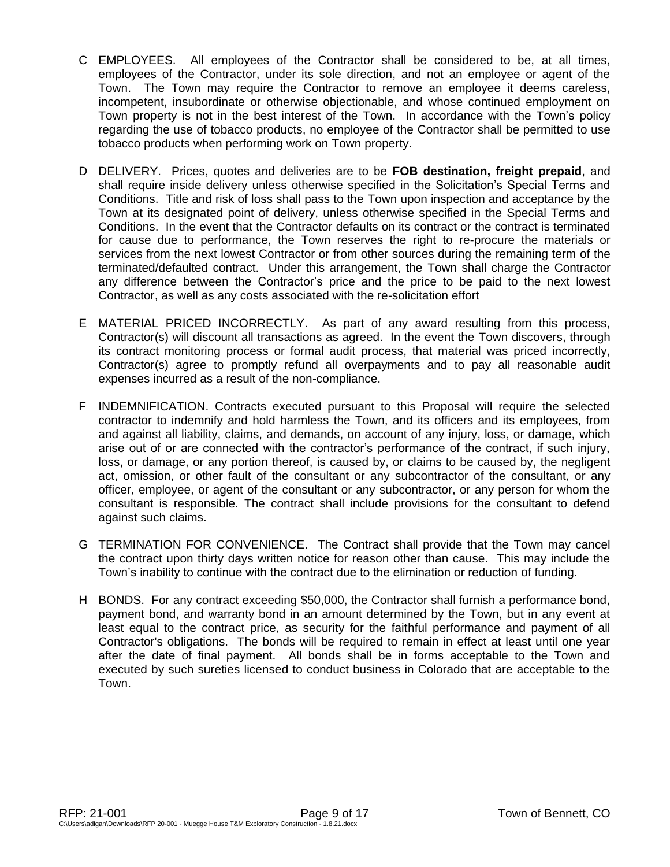- C EMPLOYEES. All employees of the Contractor shall be considered to be, at all times, employees of the Contractor, under its sole direction, and not an employee or agent of the Town. The Town may require the Contractor to remove an employee it deems careless, incompetent, insubordinate or otherwise objectionable, and whose continued employment on Town property is not in the best interest of the Town. In accordance with the Town's policy regarding the use of tobacco products, no employee of the Contractor shall be permitted to use tobacco products when performing work on Town property.
- D DELIVERY. Prices, quotes and deliveries are to be **FOB destination, freight prepaid**, and shall require inside delivery unless otherwise specified in the Solicitation's Special Terms and Conditions. Title and risk of loss shall pass to the Town upon inspection and acceptance by the Town at its designated point of delivery, unless otherwise specified in the Special Terms and Conditions. In the event that the Contractor defaults on its contract or the contract is terminated for cause due to performance, the Town reserves the right to re-procure the materials or services from the next lowest Contractor or from other sources during the remaining term of the terminated/defaulted contract. Under this arrangement, the Town shall charge the Contractor any difference between the Contractor's price and the price to be paid to the next lowest Contractor, as well as any costs associated with the re-solicitation effort
- E MATERIAL PRICED INCORRECTLY. As part of any award resulting from this process, Contractor(s) will discount all transactions as agreed. In the event the Town discovers, through its contract monitoring process or formal audit process, that material was priced incorrectly, Contractor(s) agree to promptly refund all overpayments and to pay all reasonable audit expenses incurred as a result of the non-compliance.
- F INDEMNIFICATION. Contracts executed pursuant to this Proposal will require the selected contractor to indemnify and hold harmless the Town, and its officers and its employees, from and against all liability, claims, and demands, on account of any injury, loss, or damage, which arise out of or are connected with the contractor's performance of the contract, if such injury, loss, or damage, or any portion thereof, is caused by, or claims to be caused by, the negligent act, omission, or other fault of the consultant or any subcontractor of the consultant, or any officer, employee, or agent of the consultant or any subcontractor, or any person for whom the consultant is responsible. The contract shall include provisions for the consultant to defend against such claims.
- G TERMINATION FOR CONVENIENCE. The Contract shall provide that the Town may cancel the contract upon thirty days written notice for reason other than cause. This may include the Town's inability to continue with the contract due to the elimination or reduction of funding.
- H BONDS. For any contract exceeding \$50,000, the Contractor shall furnish a performance bond, payment bond, and warranty bond in an amount determined by the Town, but in any event at least equal to the contract price, as security for the faithful performance and payment of all Contractor's obligations. The bonds will be required to remain in effect at least until one year after the date of final payment. All bonds shall be in forms acceptable to the Town and executed by such sureties licensed to conduct business in Colorado that are acceptable to the Town.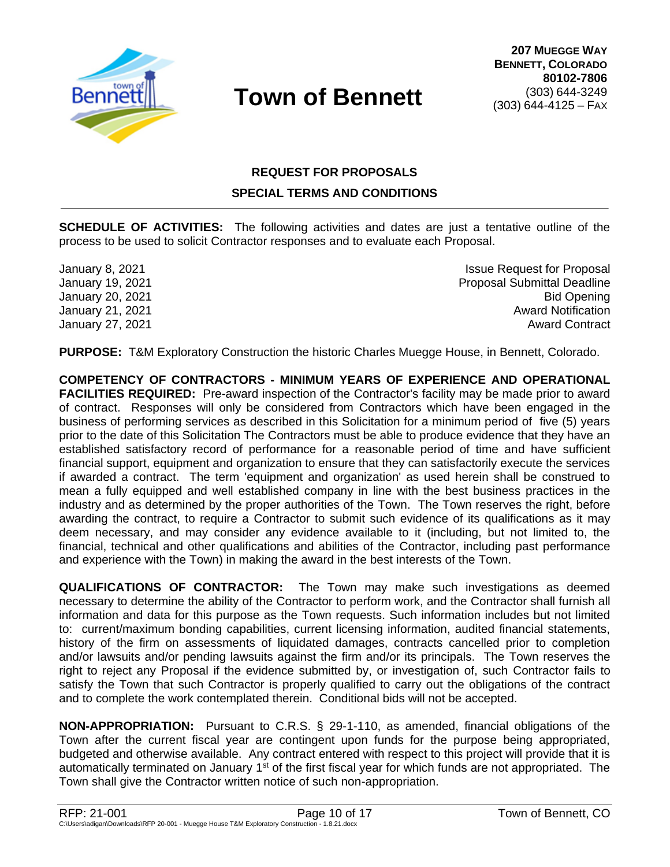

# **REQUEST FOR PROPOSALS SPECIAL TERMS AND CONDITIONS**

**SCHEDULE OF ACTIVITIES:** The following activities and dates are just a tentative outline of the process to be used to solicit Contractor responses and to evaluate each Proposal.

January 8, 2021 **Issue Request for Proposal** January 19, 2021 **Proposal Submittal Deadline** January 20, 2021 Bid Opening January 21, 2021 Award Notification January 27, 2021 2008 2012 2021 2022 2023 2024 2022 2023 2024 2022 2023 2024 2022 2023 2024 2022 2023 2022 202

**PURPOSE:** T&M Exploratory Construction the historic Charles Muegge House, in Bennett, Colorado.

**COMPETENCY OF CONTRACTORS - MINIMUM YEARS OF EXPERIENCE AND OPERATIONAL FACILITIES REQUIRED:** Pre-award inspection of the Contractor's facility may be made prior to award of contract. Responses will only be considered from Contractors which have been engaged in the business of performing services as described in this Solicitation for a minimum period of five (5) years prior to the date of this Solicitation The Contractors must be able to produce evidence that they have an established satisfactory record of performance for a reasonable period of time and have sufficient financial support, equipment and organization to ensure that they can satisfactorily execute the services if awarded a contract. The term 'equipment and organization' as used herein shall be construed to mean a fully equipped and well established company in line with the best business practices in the industry and as determined by the proper authorities of the Town. The Town reserves the right, before awarding the contract, to require a Contractor to submit such evidence of its qualifications as it may deem necessary, and may consider any evidence available to it (including, but not limited to, the financial, technical and other qualifications and abilities of the Contractor, including past performance and experience with the Town) in making the award in the best interests of the Town.

**QUALIFICATIONS OF CONTRACTOR:** The Town may make such investigations as deemed necessary to determine the ability of the Contractor to perform work, and the Contractor shall furnish all information and data for this purpose as the Town requests. Such information includes but not limited to: current/maximum bonding capabilities, current licensing information, audited financial statements, history of the firm on assessments of liquidated damages, contracts cancelled prior to completion and/or lawsuits and/or pending lawsuits against the firm and/or its principals. The Town reserves the right to reject any Proposal if the evidence submitted by, or investigation of, such Contractor fails to satisfy the Town that such Contractor is properly qualified to carry out the obligations of the contract and to complete the work contemplated therein. Conditional bids will not be accepted.

**NON-APPROPRIATION:** Pursuant to C.R.S. § 29-1-110, as amended, financial obligations of the Town after the current fiscal year are contingent upon funds for the purpose being appropriated, budgeted and otherwise available. Any contract entered with respect to this project will provide that it is automatically terminated on January 1<sup>st</sup> of the first fiscal year for which funds are not appropriated. The Town shall give the Contractor written notice of such non-appropriation.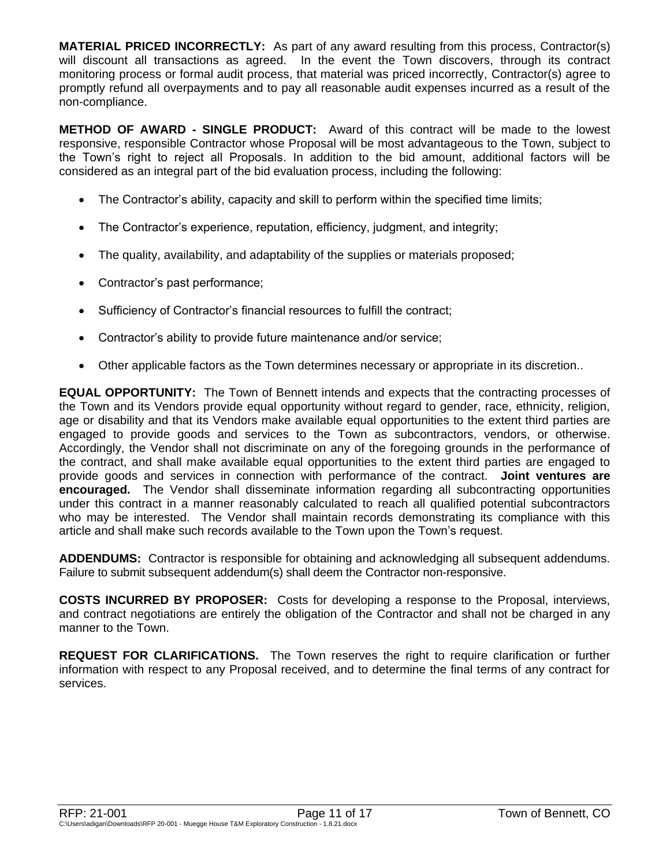**MATERIAL PRICED INCORRECTLY:** As part of any award resulting from this process, Contractor(s) will discount all transactions as agreed. In the event the Town discovers, through its contract monitoring process or formal audit process, that material was priced incorrectly, Contractor(s) agree to promptly refund all overpayments and to pay all reasonable audit expenses incurred as a result of the non-compliance.

**METHOD OF AWARD - SINGLE PRODUCT:** Award of this contract will be made to the lowest responsive, responsible Contractor whose Proposal will be most advantageous to the Town, subject to the Town's right to reject all Proposals. In addition to the bid amount, additional factors will be considered as an integral part of the bid evaluation process, including the following:

- The Contractor's ability, capacity and skill to perform within the specified time limits;
- The Contractor's experience, reputation, efficiency, judgment, and integrity;
- The quality, availability, and adaptability of the supplies or materials proposed;
- Contractor's past performance;
- Sufficiency of Contractor's financial resources to fulfill the contract;
- Contractor's ability to provide future maintenance and/or service;
- Other applicable factors as the Town determines necessary or appropriate in its discretion..

**EQUAL OPPORTUNITY:** The Town of Bennett intends and expects that the contracting processes of the Town and its Vendors provide equal opportunity without regard to gender, race, ethnicity, religion, age or disability and that its Vendors make available equal opportunities to the extent third parties are engaged to provide goods and services to the Town as subcontractors, vendors, or otherwise. Accordingly, the Vendor shall not discriminate on any of the foregoing grounds in the performance of the contract, and shall make available equal opportunities to the extent third parties are engaged to provide goods and services in connection with performance of the contract. **Joint ventures are encouraged.** The Vendor shall disseminate information regarding all subcontracting opportunities under this contract in a manner reasonably calculated to reach all qualified potential subcontractors who may be interested. The Vendor shall maintain records demonstrating its compliance with this article and shall make such records available to the Town upon the Town's request.

**ADDENDUMS:** Contractor is responsible for obtaining and acknowledging all subsequent addendums. Failure to submit subsequent addendum(s) shall deem the Contractor non-responsive.

**COSTS INCURRED BY PROPOSER:** Costs for developing a response to the Proposal, interviews, and contract negotiations are entirely the obligation of the Contractor and shall not be charged in any manner to the Town.

**REQUEST FOR CLARIFICATIONS.** The Town reserves the right to require clarification or further information with respect to any Proposal received, and to determine the final terms of any contract for services.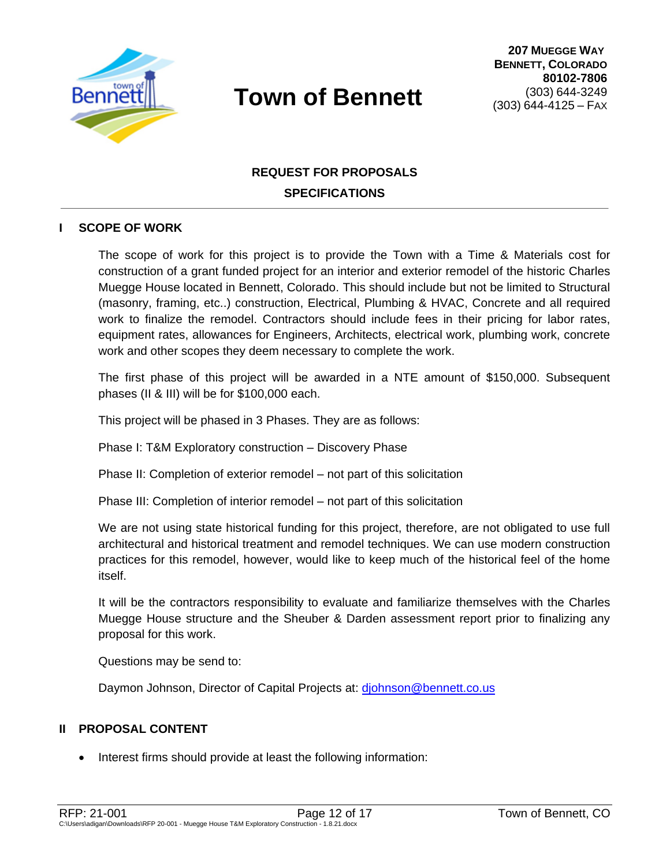

# **REQUEST FOR PROPOSALS SPECIFICATIONS**

### **I SCOPE OF WORK**

The scope of work for this project is to provide the Town with a Time & Materials cost for construction of a grant funded project for an interior and exterior remodel of the historic Charles Muegge House located in Bennett, Colorado. This should include but not be limited to Structural (masonry, framing, etc..) construction, Electrical, Plumbing & HVAC, Concrete and all required work to finalize the remodel. Contractors should include fees in their pricing for labor rates, equipment rates, allowances for Engineers, Architects, electrical work, plumbing work, concrete work and other scopes they deem necessary to complete the work.

The first phase of this project will be awarded in a NTE amount of \$150,000. Subsequent phases (II & III) will be for \$100,000 each.

This project will be phased in 3 Phases. They are as follows:

Phase I: T&M Exploratory construction – Discovery Phase

Phase II: Completion of exterior remodel – not part of this solicitation

Phase III: Completion of interior remodel – not part of this solicitation

We are not using state historical funding for this project, therefore, are not obligated to use full architectural and historical treatment and remodel techniques. We can use modern construction practices for this remodel, however, would like to keep much of the historical feel of the home itself.

It will be the contractors responsibility to evaluate and familiarize themselves with the Charles Muegge House structure and the Sheuber & Darden assessment report prior to finalizing any proposal for this work.

Questions may be send to:

Daymon Johnson, Director of Capital Projects at: [djohnson@bennett.co.us](mailto:djohnson@bennett.co.us)

### **II PROPOSAL CONTENT**

• Interest firms should provide at least the following information: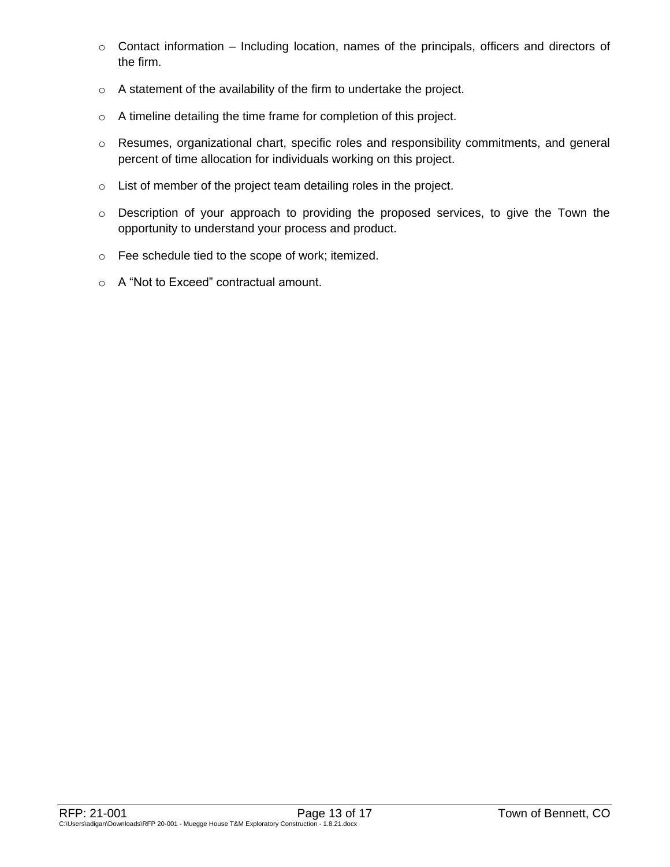- $\circ$  Contact information Including location, names of the principals, officers and directors of the firm.
- o A statement of the availability of the firm to undertake the project.
- o A timeline detailing the time frame for completion of this project.
- o Resumes, organizational chart, specific roles and responsibility commitments, and general percent of time allocation for individuals working on this project.
- o List of member of the project team detailing roles in the project.
- o Description of your approach to providing the proposed services, to give the Town the opportunity to understand your process and product.
- o Fee schedule tied to the scope of work; itemized.
- o A "Not to Exceed" contractual amount.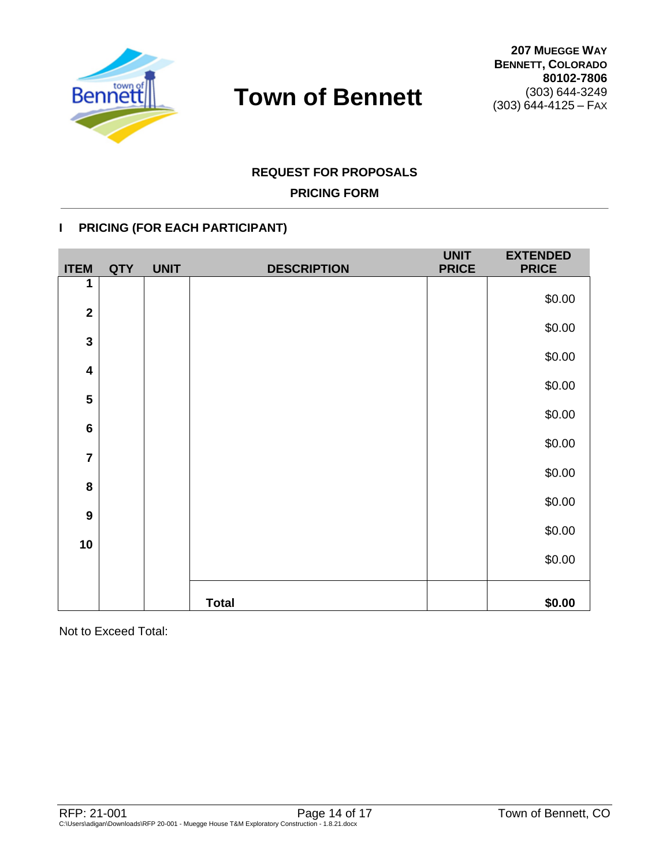

# **REQUEST FOR PROPOSALS**

# **PRICING FORM**

# **I PRICING (FOR EACH PARTICIPANT)**

| <b>ITEM</b>             | <b>QTY</b> | <b>UNIT</b> | <b>DESCRIPTION</b> | <b>UNIT</b><br><b>PRICE</b> | <b>EXTENDED</b><br><b>PRICE</b> |
|-------------------------|------------|-------------|--------------------|-----------------------------|---------------------------------|
| 1                       |            |             |                    |                             | \$0.00                          |
| $\overline{2}$          |            |             |                    |                             |                                 |
| $\mathbf{3}$            |            |             |                    |                             | \$0.00                          |
| $\overline{\mathbf{4}}$ |            |             |                    |                             | \$0.00                          |
|                         |            |             |                    |                             | \$0.00                          |
| 5                       |            |             |                    |                             | \$0.00                          |
| $\bf 6$                 |            |             |                    |                             |                                 |
| $\overline{7}$          |            |             |                    |                             | \$0.00                          |
| $\bf 8$                 |            |             |                    |                             | \$0.00                          |
|                         |            |             |                    |                             | \$0.00                          |
| $\boldsymbol{9}$        |            |             |                    |                             | \$0.00                          |
| 10                      |            |             |                    |                             | \$0.00                          |
|                         |            |             |                    |                             |                                 |
|                         |            |             | <b>Total</b>       |                             | \$0.00                          |

Not to Exceed Total: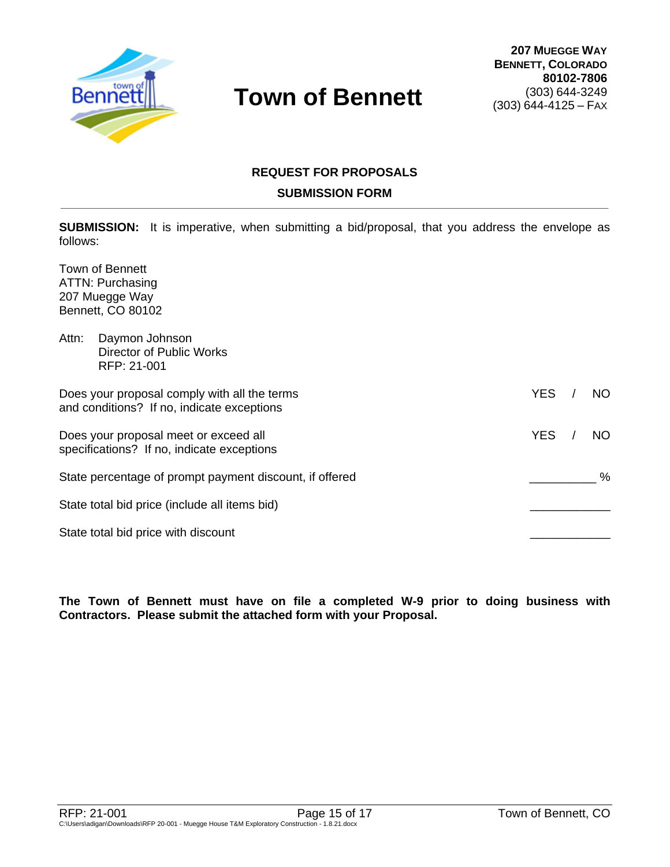

# **REQUEST FOR PROPOSALS SUBMISSION FORM**

**SUBMISSION:** It is imperative, when submitting a bid/proposal, that you address the envelope as follows:

Town of Bennett ATTN: Purchasing 207 Muegge Way Bennett, CO 80102

| Attn: | Daymon Johnson<br>Director of Public Works<br>RFP: 21-001                                  |            |      |
|-------|--------------------------------------------------------------------------------------------|------------|------|
|       | Does your proposal comply with all the terms<br>and conditions? If no, indicate exceptions | <b>YES</b> | NO.  |
|       | Does your proposal meet or exceed all<br>specifications? If no, indicate exceptions        | <b>YES</b> | NO.  |
|       | State percentage of prompt payment discount, if offered                                    |            | $\%$ |
|       | State total bid price (include all items bid)                                              |            |      |
|       | State total bid price with discount                                                        |            |      |

**The Town of Bennett must have on file a completed W-9 prior to doing business with Contractors. Please submit the attached form with your Proposal.**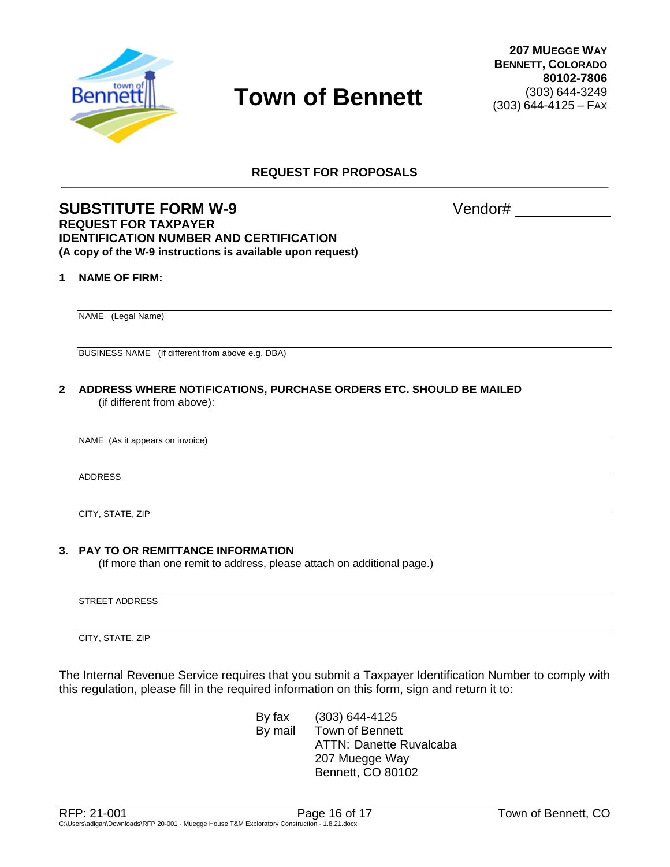

**REQUEST FOR PROPOSALS**

### **SUBSTITUTE FORM W-9** Vendor# **REQUEST FOR TAXPAYER IDENTIFICATION NUMBER AND CERTIFICATION (A copy of the W-9 instructions is available upon request)**

#### **1 NAME OF FIRM:**

NAME (Legal Name)

BUSINESS NAME (If different from above e.g. DBA)

**2 ADDRESS WHERE NOTIFICATIONS, PURCHASE ORDERS ETC. SHOULD BE MAILED** (if different from above):

NAME (As it appears on invoice)

ADDRESS

CITY, STATE, ZIP

#### **3. PAY TO OR REMITTANCE INFORMATION**

(If more than one remit to address, please attach on additional page.)

STREET ADDRESS

CITY, STATE, ZIP

The Internal Revenue Service requires that you submit a Taxpayer Identification Number to comply with this regulation, please fill in the required information on this form, sign and return it to:

> By fax (303) 644-4125 By mail Town of Bennett ATTN: Danette Ruvalcaba 207 Muegge Way Bennett, CO 80102